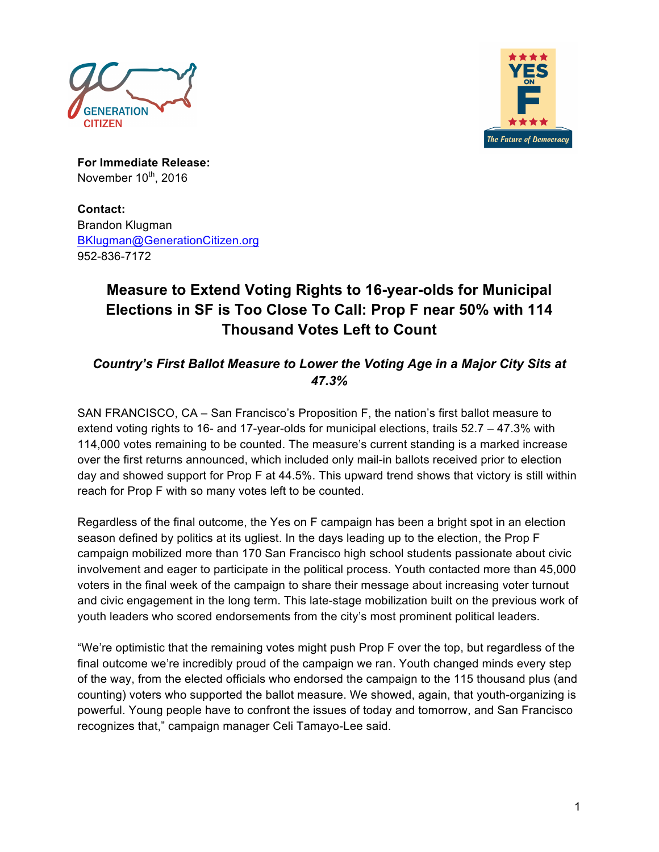



**For Immediate Release:**  November  $10^{th}$ , 2016

**Contact:** Brandon Klugman BKlugman@GenerationCitizen.org 952-836-7172

## **Measure to Extend Voting Rights to 16-year-olds for Municipal Elections in SF is Too Close To Call: Prop F near 50% with 114 Thousand Votes Left to Count**

*Country's First Ballot Measure to Lower the Voting Age in a Major City Sits at 47.3%*

SAN FRANCISCO, CA – San Francisco's Proposition F, the nation's first ballot measure to extend voting rights to 16- and 17-year-olds for municipal elections, trails 52.7 – 47.3% with 114,000 votes remaining to be counted. The measure's current standing is a marked increase over the first returns announced, which included only mail-in ballots received prior to election day and showed support for Prop F at 44.5%. This upward trend shows that victory is still within reach for Prop F with so many votes left to be counted.

Regardless of the final outcome, the Yes on F campaign has been a bright spot in an election season defined by politics at its ugliest. In the days leading up to the election, the Prop F campaign mobilized more than 170 San Francisco high school students passionate about civic involvement and eager to participate in the political process. Youth contacted more than 45,000 voters in the final week of the campaign to share their message about increasing voter turnout and civic engagement in the long term. This late-stage mobilization built on the previous work of youth leaders who scored endorsements from the city's most prominent political leaders.

"We're optimistic that the remaining votes might push Prop F over the top, but regardless of the final outcome we're incredibly proud of the campaign we ran. Youth changed minds every step of the way, from the elected officials who endorsed the campaign to the 115 thousand plus (and counting) voters who supported the ballot measure. We showed, again, that youth-organizing is powerful. Young people have to confront the issues of today and tomorrow, and San Francisco recognizes that," campaign manager Celi Tamayo-Lee said.